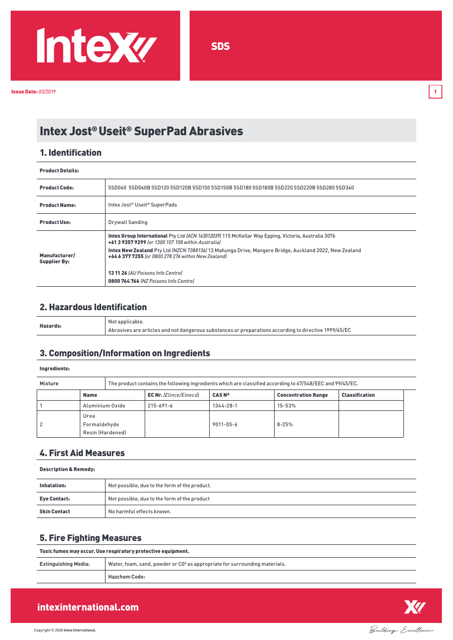

# Intex Jost® Useit® SuperPad Abrasives

### 1. Identification

| <b>Product Details:</b>              |                                                                                                                                                              |  |
|--------------------------------------|--------------------------------------------------------------------------------------------------------------------------------------------------------------|--|
| <b>Product Code:</b>                 | 55D060 5SD060B 5SD120 5SD120B 5SD150 5SD150B 5SD180 5SD180B 5SD220 5SD220B 5SD280 5SD360                                                                     |  |
| <b>Product Name:</b>                 | Intex Jost® Useit® SuperPads                                                                                                                                 |  |
| <b>Product Use:</b>                  | <b>Drywall Sanding</b>                                                                                                                                       |  |
|                                      | Intex Group International Pty Ltd (ACN 163012039) 115 McKellar Way Epping, Victoria, Australia 3076<br>+61 3 9357 9299 (or 1300 107 108 within Australia)    |  |
| Manufacturer/<br><b>Supplier By:</b> | Intex New Zealand Pty Ltd (NZCN 7388136) 13 Mahunga Drive, Mangere Bridge, Auckland 2022, New Zealand<br>+64 6 377 7255 for 0800 278 276 within New Zealandl |  |
|                                      | 13 11 26 (AU Poisons Info Centrel                                                                                                                            |  |
|                                      | 0800764766 (NZ Poisons Info Centre)                                                                                                                          |  |

# 2. Hazardous Identification

| Hazards: | Not applicable.                                                                                       |
|----------|-------------------------------------------------------------------------------------------------------|
|          | Abrasives are articles and not dangerous substances or preparations according to directive 1999/45/EC |

### 3. Composition/Information on Ingredients

#### Ingredients:

| <b>Mixture</b> |                                          |  | The product contains the following ingredients which are classified according to 67/548/EEC and 99/45/EC. |                 |                            |                       |  |
|----------------|------------------------------------------|--|-----------------------------------------------------------------------------------------------------------|-----------------|----------------------------|-----------------------|--|
|                | <b>Name</b>                              |  | <b>EC Nr.</b> (Elince/Einecs)                                                                             | <b>CAS Nº</b>   | <b>Concentration Range</b> | <b>Classification</b> |  |
|                | Aluminium Oxide                          |  | 215-691-6                                                                                                 | 1344-28-1       | $15 - 53%$                 |                       |  |
|                | Urea<br>Formaldehyde<br>Resin (Hardened) |  |                                                                                                           | $9011 - 05 - 6$ | $8 - 25%$                  |                       |  |

# 4. First Aid Measures

#### Description & Remedy:

| Inhalation:         | Not possible, due to the form of the product. |
|---------------------|-----------------------------------------------|
| <b>Eye Contact:</b> | Not possible, due to the form of the product  |
| <b>Skin Contact</b> | No harmful effects known.                     |

# 5. Fire Fighting Measures

| Toxic fumes may occur. Use respiratory protective equipment. |                                                                                        |  |
|--------------------------------------------------------------|----------------------------------------------------------------------------------------|--|
| <b>Extinguishing Media:</b>                                  | Water, foam, sand, powder or CO <sup>2</sup> as appropriate for surrounding materials. |  |
|                                                              | <b>Hazchem Code:</b>                                                                   |  |



# intexinternational.com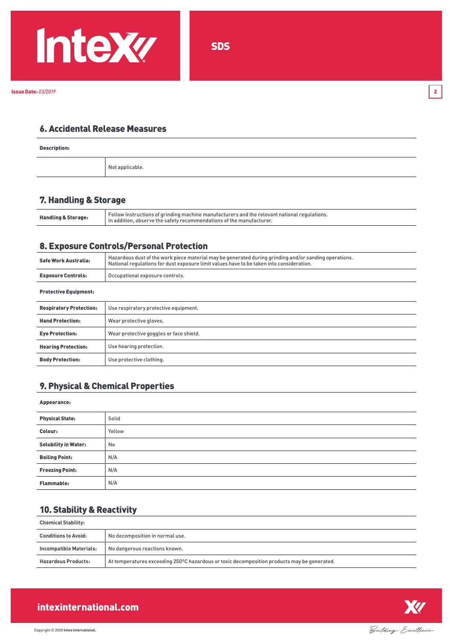

# 6. Accidental Release Measures

Description:

Not applicable.

### 7. Handling & Storage

| <b>Handling &amp; Storage:</b> | <sup>1</sup> Follow instructions of grinding machine manufacturers and the relevant national regulations.<br>In addition, observe the safety recommendations of the manufacturer. |
|--------------------------------|-----------------------------------------------------------------------------------------------------------------------------------------------------------------------------------|
|--------------------------------|-----------------------------------------------------------------------------------------------------------------------------------------------------------------------------------|

### 8. Exposure Controls/Personal Protection

| Safe Work Australia:           | Hazardous dust of the work piece material may be generated during grinding and/or sanding operations.<br>National requlations for dust exposure limit values have to be taken into consideration. |  |
|--------------------------------|---------------------------------------------------------------------------------------------------------------------------------------------------------------------------------------------------|--|
| <b>Exposure Controls:</b>      | Occupational exposure controls.                                                                                                                                                                   |  |
| <b>Protective Equipment:</b>   |                                                                                                                                                                                                   |  |
| <b>Respiratory Protection:</b> | Use respiratory protective equipment.                                                                                                                                                             |  |
| <b>Hand Protection:</b>        | Wear protective gloves.                                                                                                                                                                           |  |
| <b>Eye Protection:</b>         | Wear protective goggles or face shield.                                                                                                                                                           |  |
| <b>Hearing Protection:</b>     | Use hearing protection.                                                                                                                                                                           |  |
| <b>Body Protection:</b>        | Use protective clothing.                                                                                                                                                                          |  |

### 9. Physical & Chemical Properties

#### Appearance:

| <b>Physical State:</b>      | Solid  |
|-----------------------------|--------|
| Colour:                     | Yellow |
| <b>Solubility in Water:</b> | No     |
| <b>Boiling Point:</b>       | N/A    |
| <b>Freezing Point:</b>      | N/A    |
| <b>Flammable:</b>           | N/A    |

# 10. Stability & Reactivity

| <b>Chemical Stability:</b>  |                                                                                             |  |
|-----------------------------|---------------------------------------------------------------------------------------------|--|
| <b>Conditions to Avoid:</b> | No decomposition in normal use.                                                             |  |
| Incompatible Materials:     | No dangerous reactions known.                                                               |  |
| <b>Hazardous Products:</b>  | At temperatures exceeding 250°C hazardous or toxic decomposition products may be generated. |  |



# intexinternational.com